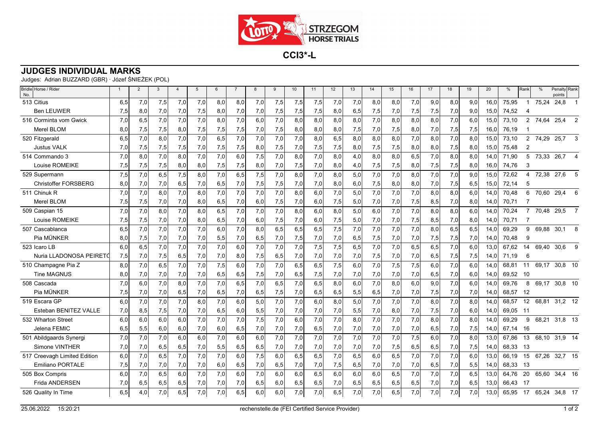

**CCI3\*-L**

## **JUDGES INDIVIDUAL MARKS**

Judges: Adrian BUZZARD (GBR) · Józef ŚNIEŻEK (POL)

| Bridle Horse / Rider<br>No.  | $\overline{1}$ | 2   | 3   | $\overline{4}$ | 5   | 6   | $\overline{7}$ | 8   | 9   | 10  | 11  | 12  | 13  | 14  | 15  | 16  | 17  | 18  | 19  | 20   | $\frac{0}{0}$ | Rank           | $\frac{0}{0}$ | Penalty Rank<br>points |                |
|------------------------------|----------------|-----|-----|----------------|-----|-----|----------------|-----|-----|-----|-----|-----|-----|-----|-----|-----|-----|-----|-----|------|---------------|----------------|---------------|------------------------|----------------|
| 513 Citius                   | 6,5            | 7,0 | 7,5 | 7,0            | 7,0 | 8,0 | 8,0            | 7,0 | 7,5 | 7,5 | 7,5 | 7,0 | 7.0 | 8,0 | 8,0 | 7,0 | 9,0 | 8,0 | 9,0 | 16.0 | 75,95         |                | 75,24         | 24,8                   |                |
| <b>Ben LEUWER</b>            | 7,5            | 8,0 | 7,0 | 7,0            | 7,5 | 8,0 | 7,0            | 7,0 | 7,5 | 7,5 | 7,5 | 8,0 | 6,5 | 7,5 | 7,0 | 7,5 | 7,5 | 7,0 | 9,0 | 15,0 | 74,52         | 4              |               |                        |                |
| 516 Corminta vom Gwick       | 7,0            | 6,5 | 7,0 | 7,0            | 7,0 | 8,0 | 7,0            | 6,0 | 7,0 | 8,0 | 8,0 | 8,0 | 8,0 | 7,0 | 8,0 | 8,0 | 8,0 | 7,0 | 6,0 | 15,0 | 73,10         | $\overline{2}$ | 74,64         | 25,4                   | 2              |
| Merel BLOM                   | 8,0            | 7,5 | 7,5 | 8,0            | 7,5 | 7,5 | 7,5            | 7,0 | 7,5 | 8,0 | 8,0 | 8,0 | 7,5 | 7,0 | 7,5 | 8,0 | 7,0 | 7,5 | 7,5 | 16,0 | 76,19         |                |               |                        |                |
| 520 Fitzgerald               | 6,5            | 7,0 | 8,0 | 7,0            | 7,0 | 6,5 | 7,0            | 7,0 | 7,0 | 7,0 | 8,0 | 6,5 | 8,0 | 8,0 | 8,0 | 7,0 | 8,0 | 7,0 | 8,0 | 15,0 | 73,10         | $\overline{2}$ | 74,29         | 25,7                   | 3              |
| Justus VALK                  | 7,0            | 7,5 | 7,5 | 7,5            | 7,0 | 7,5 | 7,5            | 8,0 | 7,5 | 7,0 | 7,5 | 7,5 | 8,0 | 7,5 | 7,5 | 8,0 | 8,0 | 7,5 | 8,0 | 15,0 | 75,48         | $\overline{2}$ |               |                        |                |
| 514 Commando 3               | 7,0            | 8.0 | 7.0 | 8,0            | 7,0 | 7,0 | 6,0            | 7,5 | 7,0 | 8,0 | 7,0 | 8,0 | 4.0 | 8,0 | 8,0 | 6,5 | 7,0 | 8,0 | 8,0 | 14,0 | 71.90         | 5              | 73,33         | 26,7                   |                |
| Louise ROMEIKE               | 7,5            | 7,5 | 7,5 | 8,0            | 8,0 | 7,5 | 7,5            | 8,0 | 7,0 | 7,5 | 7,0 | 8,0 | 4,0 | 7,5 | 7,5 | 8,0 | 7,5 | 7,5 | 8,0 | 16,0 | 74,76         | 3              |               |                        |                |
| 529 Supermann                | 7,5            | 7,0 | 6,5 | 7,5            | 8,0 | 7,0 | 6,5            | 7,5 | 7,0 | 8.0 | 7,0 | 8,0 | 5.0 | 7,0 | 7,0 | 8,0 | 7,0 | 7,0 | 9,0 | 15,0 | 72,62         | 4              |               | 72,38 27,6             |                |
| <b>Christoffer FORSBERG</b>  | 8,0            | 7,0 | 7,0 | 6,5            | 7,0 | 6,5 | 7,0            | 7,5 | 7,5 | 7,0 | 7,0 | 8,0 | 6,0 | 7,5 | 8,0 | 8,0 | 7,0 | 7,5 | 6,5 | 15,0 | 72,14         | 5              |               |                        |                |
| 511 Chinuk R                 | 7,0            | 7,0 | 8,0 | 7,0            | 8,0 | 7,0 | 7,0            | 7,0 | 7,0 | 8,0 | 6,0 | 7,0 | 5,0 | 7,0 | 7,0 | 7,0 | 8,0 | 8,0 | 6,0 | 14.0 | 70,48         | 6              | 70,60         | 29,4                   | 6              |
| Merel BLOM                   | 7,5            | 7,5 | 7,0 | 7,0            | 8,0 | 6,5 | 7,0            | 6,0 | 7,5 | 7,0 | 6,0 | 7,5 | 5,0 | 7,0 | 7,0 | 7,5 | 8,5 | 7,0 | 8,0 | 14.0 | 70,71         |                |               |                        |                |
| 509 Caspian 15               | 7,0            | 7.0 | 8,0 | 7,0            | 8,0 | 6,5 | 7,0            | 7.0 | 7,0 | 8,0 | 6,0 | 8,0 | 5,0 | 6,0 | 7,0 | 7,0 | 8,0 | 8,0 | 6.0 | 14.0 | 70,24         |                | 70,48         | 29,5                   | $\overline{7}$ |
| Louise ROMEIKE               | 7,5            | 7,5 | 7,0 | 7,0            | 8,0 | 6,5 | 7,0            | 6,0 | 7,5 | 7,0 | 6,0 | 7,5 | 5,0 | 7,0 | 7,0 | 7,5 | 8,5 | 7,0 | 8,0 | 14,0 | 70,71         |                |               |                        |                |
| 507 Cascablanca              | 6,5            | 7,0 | 7,0 | 7,0            | 7,0 | 6,0 | 7,0            | 8,0 | 6,5 | 6,5 | 6,5 | 7,5 | 7,0 | 7,0 | 7,0 | 7,0 | 8,0 | 6,5 | 6,5 | 14.0 | 69.29         | 9              | 69,88         | 30,1                   | 8              |
| Pia MÜNKER                   | 8,0            | 7,5 | 7,0 | 7,0            | 7,0 | 5,5 | 7,0            | 6,5 | 7,0 | 7,5 | 7,0 | 7,0 | 6,5 | 7,5 | 7,0 | 7,0 | 7,5 | 7,5 | 7,0 | 14,0 | 70,48         | 9              |               |                        |                |
| 523 Icaro LB                 | 6,0            | 6,5 | 7.0 | 7,0            | 7,0 | 7,0 | 6,0            | 7,0 | 7,0 | 7,0 | 7,5 | 7,5 | 6,5 | 7,0 | 7,0 | 6,5 | 6,5 | 7,0 | 6,0 | 13.0 | 67.62         | 14             | 69,40         | 30,6                   | 9              |
| Nuria LLADONOSA PEIRETO      | 7,5            | 7,0 | 7,5 | 6,5            | 7,0 | 7,0 | 8,0            | 7,5 | 6,5 | 7,0 | 7,0 | 7,0 | 7,0 | 7,5 | 7,0 | 7,0 | 6,5 | 7,5 | 7,5 | 14,0 | 71.19         | 6              |               |                        |                |
| 510 Champagne Pia Z          | 8,0            | 7,0 | 6,5 | 7,0            | 7,0 | 7,5 | 6,0            | 7,0 | 7,0 | 6,5 | 6,5 | 7,5 | 6,0 | 7,0 | 7,5 | 7,5 | 6,0 | 7,0 | 6,0 | 14.0 | 68,81         | 11             | 69,17         | 30,8 10                |                |
| <b>Tine MAGNUS</b>           | 8,0            | 7,0 | 7,0 | 7,0            | 7,0 | 6,5 | 6,5            | 7,5 | 7,0 | 6,5 | 7,5 | 7,0 | 7,0 | 7,0 | 7,0 | 7,0 | 6,5 | 7,0 | 6,0 | 14,0 | 69.52         | -10            |               |                        |                |
| 508 Cascada                  | 7,0            | 6.0 | 7.0 | 8.0            | 7,0 | 7,0 | 6.5            | 7.0 | 6,5 | 7,0 | 6,5 | 8.0 | 6.0 | 7,0 | 8.0 | 6,0 | 9.0 | 7,0 | 6.0 | 14.0 | 69.76         | 8              | 69.17         | 30.8 10                |                |
| Pia MÜNKER                   | 7,5            | 7,0 | 7,0 | 6,5            | 7,0 | 6,5 | 7,0            | 6,5 | 7,5 | 7,0 | 6,5 | 6,5 | 5,5 | 6,5 | 7,0 | 7,0 | 7,5 | 7,0 | 7,0 | 14,0 | 68,57         | -12            |               |                        |                |
| 519 Escara GP                | 6,0            | 7,0 | 7.0 | 7,0            | 8.0 | 7,0 | 6,0            | 5,0 | 7,0 | 7,0 | 6,0 | 8.0 | 5,0 | 7,0 | 7,0 | 7,0 | 8.0 | 7,0 | 8.0 | 14.0 | 68.57         | 12             | 68,81         | $31,2$ 12              |                |
| Esteban BENITEZ VALLE        | 7,0            | 8,5 | 7,5 | 7,0            | 7,0 | 6,5 | 6,0            | 5,5 | 7,0 | 7,0 | 7,0 | 7,0 | 5,5 | 7,0 | 8,0 | 7,0 | 7,5 | 7,0 | 6,0 | 14.0 | 69.05         | - 11           |               |                        |                |
| 532 Wharton Street           | 6,0            | 6,0 | 6,0 | 6,0            | 7,0 | 7,0 | 7,0            | 7,5 | 7,0 | 6,0 | 7,0 | 7,0 | 8,0 | 7,0 | 7,0 | 7,0 | 8,0 | 7,0 | 8,0 | 14.0 | 69,29         | 9              | 68,21         | $31,8$ 13              |                |
| Jelena FEMIC                 | 6,5            | 5,5 | 6,0 | 6,0            | 7,0 | 6,0 | 6,5            | 7,0 | 7,0 | 7,0 | 6,5 | 7,0 | 7,0 | 7,0 | 7,0 | 7,0 | 6,5 | 7,0 | 7,5 | 14,0 | 67.14         | -16            |               |                        |                |
| 501 Abildgaards Synergi      | 7,0            | 7,0 | 7,0 | 6,0            | 6,0 | 7,0 | 6,0            | 6,0 | 7,0 | 7,0 | 7,0 | 7,0 | 7,0 | 7,0 | 7,0 | 7,5 | 6,0 | 7,0 | 8,0 | 13,0 | 67,86         | 13             |               | 68,10 31,9 14          |                |
| Simone VINTHER               | 7,0            | 7,0 | 6,5 | 6,5            | 7,0 | 5,5 | 6,5            | 6,5 | 7,0 | 7,0 | 7,0 | 7,0 | 7,0 | 7,0 | 7,5 | 6,5 | 6,5 | 7,0 | 7,5 | 14,0 | 68,33         | -13            |               |                        |                |
| 517 Creevagh Limited Edition | 6,0            | 7.0 | 6,5 | 7,0            | 7,0 | 7,0 | 6.0            | 7,5 | 6,0 | 6.5 | 6,5 | 7.0 | 6,5 | 6,0 | 6.5 | 7,0 | 7.0 | 7,0 | 6.0 | 13.0 | 66.19         | 15             | 67.26         | 32,7 15                |                |
| Emiliano PORTALE             | 7,5            | 7,0 | 7,0 | 7,0            | 7,0 | 6,0 | 6,5            | 7,0 | 6,5 | 7,0 | 7,0 | 7,5 | 6,5 | 7,0 | 7,0 | 7,0 | 6,5 | 7,0 | 5,5 | 14,0 | 68,33         | -13            |               |                        |                |
| 505 Box Compris              | 6,0            | 7,0 | 6,5 | 6,0            | 7,0 | 7,0 | 6,0            | 7,0 | 6,0 | 6,0 | 6,5 | 6.0 | 6.0 | 6,0 | 6,5 | 7,0 | 7,0 | 7,0 | 6,5 | 13.0 | 64,76         | 20             | 65.60         | 34.4 16                |                |
| Frida ANDERSEN               | 7,0            | 6,5 | 6,5 | 6,5            | 7,0 | 7,0 | 7,0            | 6,5 | 6,0 | 6,5 | 6,5 | 7,0 | 6,5 | 6,5 | 6,5 | 6,5 | 7,0 | 7,0 | 6,5 | 13.0 | 66.43         | - 17           |               |                        |                |
| 526 Quality In Time          | 6,5            | 4,0 | 7,0 | 6,5            | 7,0 | 7,0 | 6,5            | 6,0 | 6,0 | 7,0 | 7,0 | 6,5 | 7,0 | 7,0 | 6,5 | 7,0 | 7,0 | 7,0 | 7,0 | 13,0 | 65,95         |                |               | 17 65,24 34,8 17       |                |